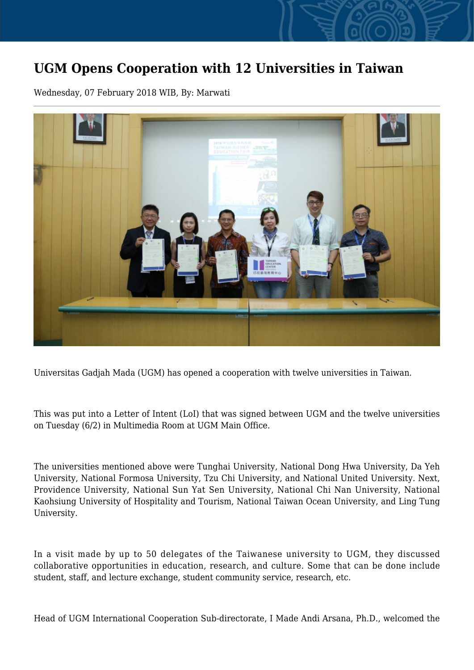## **UGM Opens Cooperation with 12 Universities in Taiwan**

Wednesday, 07 February 2018 WIB, By: Marwati



Universitas Gadjah Mada (UGM) has opened a cooperation with twelve universities in Taiwan.

This was put into a Letter of Intent (LoI) that was signed between UGM and the twelve universities on Tuesday (6/2) in Multimedia Room at UGM Main Office.

The universities mentioned above were Tunghai University, National Dong Hwa University, Da Yeh University, National Formosa University, Tzu Chi University, and National United University. Next, Providence University, National Sun Yat Sen University, National Chi Nan University, National Kaohsiung University of Hospitality and Tourism, National Taiwan Ocean University, and Ling Tung University.

In a visit made by up to 50 delegates of the Taiwanese university to UGM, they discussed collaborative opportunities in education, research, and culture. Some that can be done include student, staff, and lecture exchange, student community service, research, etc.

Head of UGM International Cooperation Sub-directorate, I Made Andi Arsana, Ph.D., welcomed the